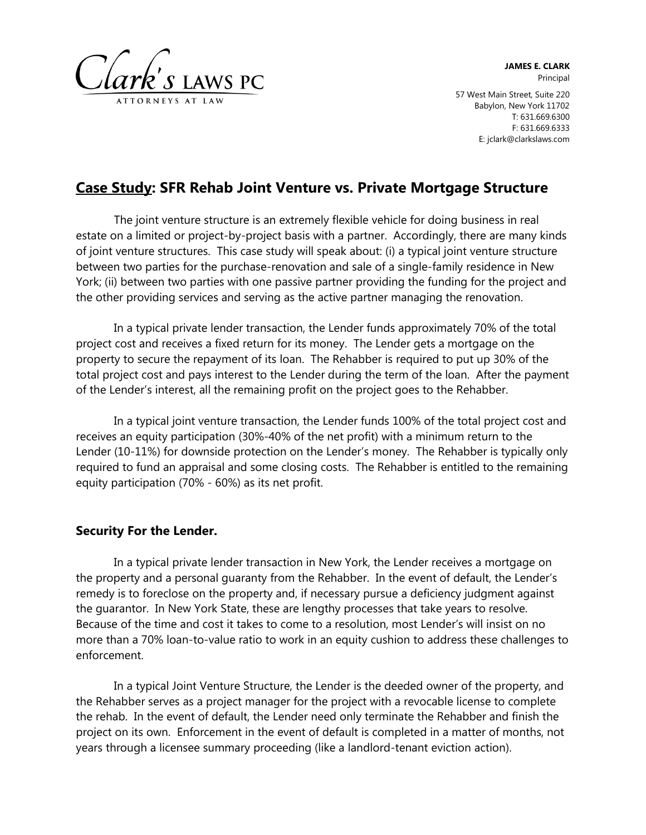

**JAMES E. CLARK** Principal 57 West Main Street, Suite 220 Babylon, New York 11702 T: 631.669.6300 F: 631.669.6333 E: jclark@clarkslaws.com

# **Case Study: SFR Rehab Joint Venture vs. Private Mortgage Structure**

The joint venture structure is an extremely flexible vehicle for doing business in real estate on a limited or project-by-project basis with a partner. Accordingly, there are many kinds of joint venture structures. This case study will speak about: (i) a typical joint venture structure between two parties for the purchase-renovation and sale of a single-family residence in New York; (ii) between two parties with one passive partner providing the funding for the project and the other providing services and serving as the active partner managing the renovation.

In a typical private lender transaction, the Lender funds approximately 70% of the total project cost and receives a fixed return for its money. The Lender gets a mortgage on the property to secure the repayment of its loan. The Rehabber is required to put up 30% of the total project cost and pays interest to the Lender during the term of the loan. After the payment of the Lender's interest, all the remaining profit on the project goes to the Rehabber.

In a typical joint venture transaction, the Lender funds 100% of the total project cost and receives an equity participation (30%-40% of the net profit) with a minimum return to the Lender (10-11%) for downside protection on the Lender's money. The Rehabber is typically only required to fund an appraisal and some closing costs. The Rehabber is entitled to the remaining equity participation (70% - 60%) as its net profit.

### **Security For the Lender.**

In a typical private lender transaction in New York, the Lender receives a mortgage on the property and a personal guaranty from the Rehabber. In the event of default, the Lender's remedy is to foreclose on the property and, if necessary pursue a deficiency judgment against the guarantor. In New York State, these are lengthy processes that take years to resolve. Because of the time and cost it takes to come to a resolution, most Lender's will insist on no more than a 70% loan-to-value ratio to work in an equity cushion to address these challenges to enforcement.

In a typical Joint Venture Structure, the Lender is the deeded owner of the property, and the Rehabber serves as a project manager for the project with a revocable license to complete the rehab. In the event of default, the Lender need only terminate the Rehabber and finish the project on its own. Enforcement in the event of default is completed in a matter of months, not years through a licensee summary proceeding (like a landlord-tenant eviction action).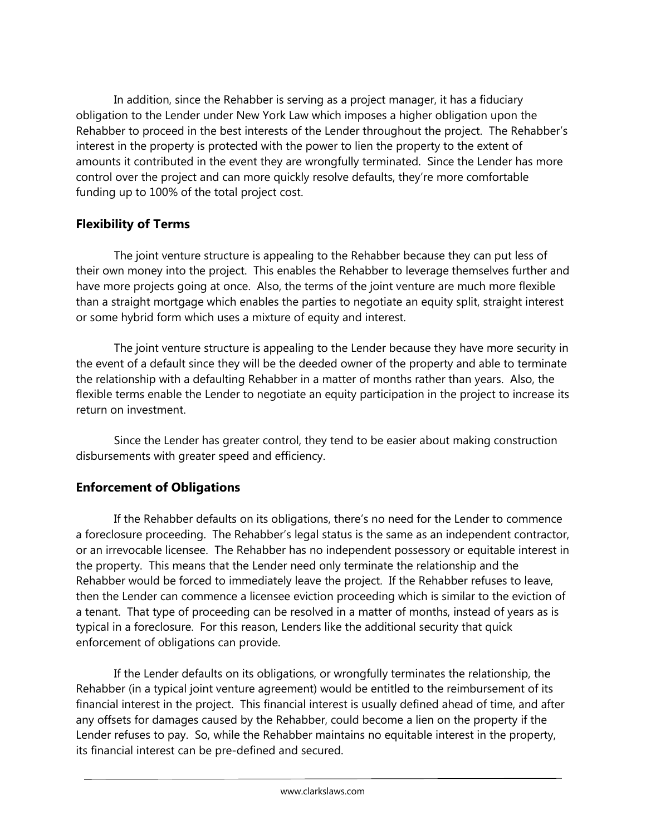In addition, since the Rehabber is serving as a project manager, it has a fiduciary obligation to the Lender under New York Law which imposes a higher obligation upon the Rehabber to proceed in the best interests of the Lender throughout the project. The Rehabber's interest in the property is protected with the power to lien the property to the extent of amounts it contributed in the event they are wrongfully terminated. Since the Lender has more control over the project and can more quickly resolve defaults, they're more comfortable funding up to 100% of the total project cost.

## **Flexibility of Terms**

The joint venture structure is appealing to the Rehabber because they can put less of their own money into the project. This enables the Rehabber to leverage themselves further and have more projects going at once. Also, the terms of the joint venture are much more flexible than a straight mortgage which enables the parties to negotiate an equity split, straight interest or some hybrid form which uses a mixture of equity and interest.

The joint venture structure is appealing to the Lender because they have more security in the event of a default since they will be the deeded owner of the property and able to terminate the relationship with a defaulting Rehabber in a matter of months rather than years. Also, the flexible terms enable the Lender to negotiate an equity participation in the project to increase its return on investment.

Since the Lender has greater control, they tend to be easier about making construction disbursements with greater speed and efficiency.

# **Enforcement of Obligations**

If the Rehabber defaults on its obligations, there's no need for the Lender to commence a foreclosure proceeding. The Rehabber's legal status is the same as an independent contractor, or an irrevocable licensee. The Rehabber has no independent possessory or equitable interest in the property. This means that the Lender need only terminate the relationship and the Rehabber would be forced to immediately leave the project. If the Rehabber refuses to leave, then the Lender can commence a licensee eviction proceeding which is similar to the eviction of a tenant. That type of proceeding can be resolved in a matter of months, instead of years as is typical in a foreclosure. For this reason, Lenders like the additional security that quick enforcement of obligations can provide.

If the Lender defaults on its obligations, or wrongfully terminates the relationship, the Rehabber (in a typical joint venture agreement) would be entitled to the reimbursement of its financial interest in the project. This financial interest is usually defined ahead of time, and after any offsets for damages caused by the Rehabber, could become a lien on the property if the Lender refuses to pay. So, while the Rehabber maintains no equitable interest in the property, its financial interest can be pre-defined and secured.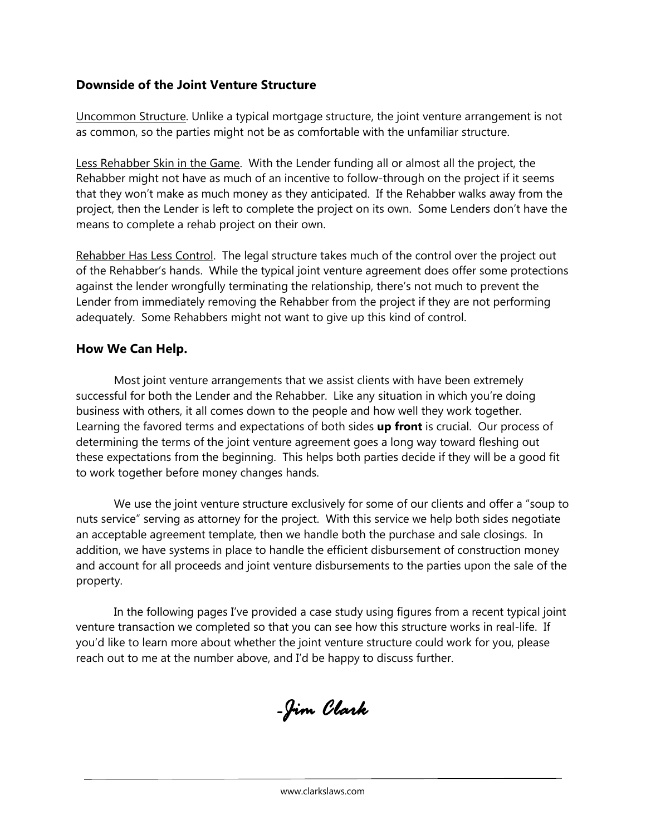## **Downside of the Joint Venture Structure**

Uncommon Structure. Unlike a typical mortgage structure, the joint venture arrangement is not as common, so the parties might not be as comfortable with the unfamiliar structure.

Less Rehabber Skin in the Game. With the Lender funding all or almost all the project, the Rehabber might not have as much of an incentive to follow-through on the project if it seems that they won't make as much money as they anticipated. If the Rehabber walks away from the project, then the Lender is left to complete the project on its own. Some Lenders don't have the means to complete a rehab project on their own.

Rehabber Has Less Control. The legal structure takes much of the control over the project out of the Rehabber's hands. While the typical joint venture agreement does offer some protections against the lender wrongfully terminating the relationship, there's not much to prevent the Lender from immediately removing the Rehabber from the project if they are not performing adequately. Some Rehabbers might not want to give up this kind of control.

### **How We Can Help.**

Most joint venture arrangements that we assist clients with have been extremely successful for both the Lender and the Rehabber. Like any situation in which you're doing business with others, it all comes down to the people and how well they work together. Learning the favored terms and expectations of both sides **up front** is crucial. Our process of determining the terms of the joint venture agreement goes a long way toward fleshing out these expectations from the beginning. This helps both parties decide if they will be a good fit to work together before money changes hands.

We use the joint venture structure exclusively for some of our clients and offer a "soup to nuts service" serving as attorney for the project. With this service we help both sides negotiate an acceptable agreement template, then we handle both the purchase and sale closings. In addition, we have systems in place to handle the efficient disbursement of construction money and account for all proceeds and joint venture disbursements to the parties upon the sale of the property.

In the following pages I've provided a case study using figures from a recent typical joint venture transaction we completed so that you can see how this structure works in real-life. If you'd like to learn more about whether the joint venture structure could work for you, please reach out to me at the number above, and I'd be happy to discuss further.

*-Jim Clark*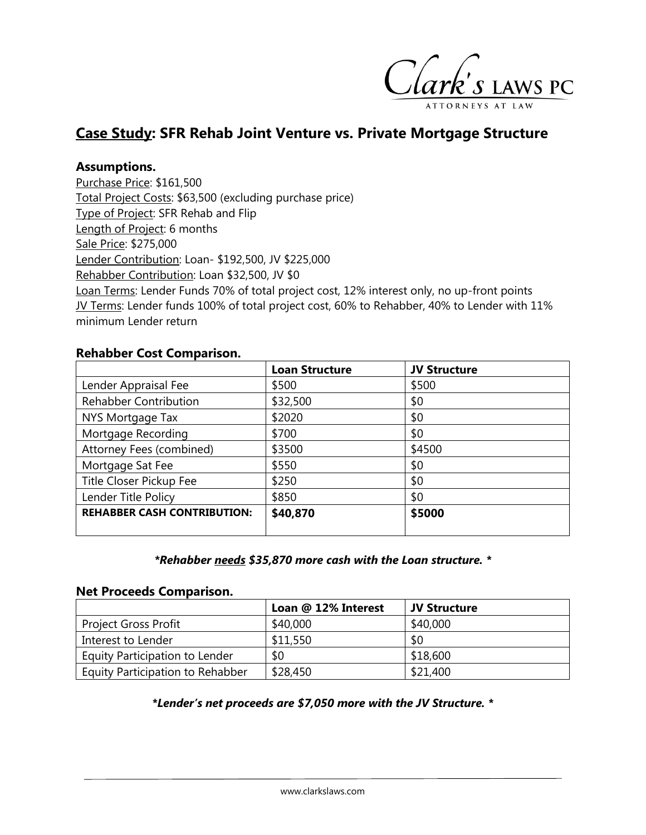

# **Case Study: SFR Rehab Joint Venture vs. Private Mortgage Structure**

### **Assumptions.**

Purchase Price: \$161,500 Total Project Costs: \$63,500 (excluding purchase price) Type of Project: SFR Rehab and Flip Length of Project: 6 months Sale Price: \$275,000 Lender Contribution: Loan- \$192,500, JV \$225,000 Rehabber Contribution: Loan \$32,500, JV \$0 Loan Terms: Lender Funds 70% of total project cost, 12% interest only, no up-front points JV Terms: Lender funds 100% of total project cost, 60% to Rehabber, 40% to Lender with 11% minimum Lender return

#### **Rehabber Cost Comparison.**

|                                    | <b>Loan Structure</b> | <b>JV Structure</b> |
|------------------------------------|-----------------------|---------------------|
| Lender Appraisal Fee               | \$500                 | \$500               |
| <b>Rehabber Contribution</b>       | \$32,500              | \$0                 |
| NYS Mortgage Tax                   | \$2020                | \$0                 |
| Mortgage Recording                 | \$700                 | \$0                 |
| Attorney Fees (combined)           | \$3500                | \$4500              |
| Mortgage Sat Fee                   | \$550                 | \$0                 |
| Title Closer Pickup Fee            | \$250                 | \$0                 |
| Lender Title Policy                | \$850                 | \$0                 |
| <b>REHABBER CASH CONTRIBUTION:</b> | \$40,870              | \$5000              |
|                                    |                       |                     |

#### *\*Rehabber needs \$35,870 more cash with the Loan structure. \**

### **Net Proceeds Comparison.**

|                                  | Loan @ 12% Interest | <b>JV Structure</b> |
|----------------------------------|---------------------|---------------------|
| <b>Project Gross Profit</b>      | \$40,000            | \$40,000            |
| Interest to Lender               | \$11,550            | \$0                 |
| Equity Participation to Lender   | \$0                 | \$18,600            |
| Equity Participation to Rehabber | \$28,450            | \$21,400            |

#### *\*Lender's net proceeds are \$7,050 more with the JV Structure. \**